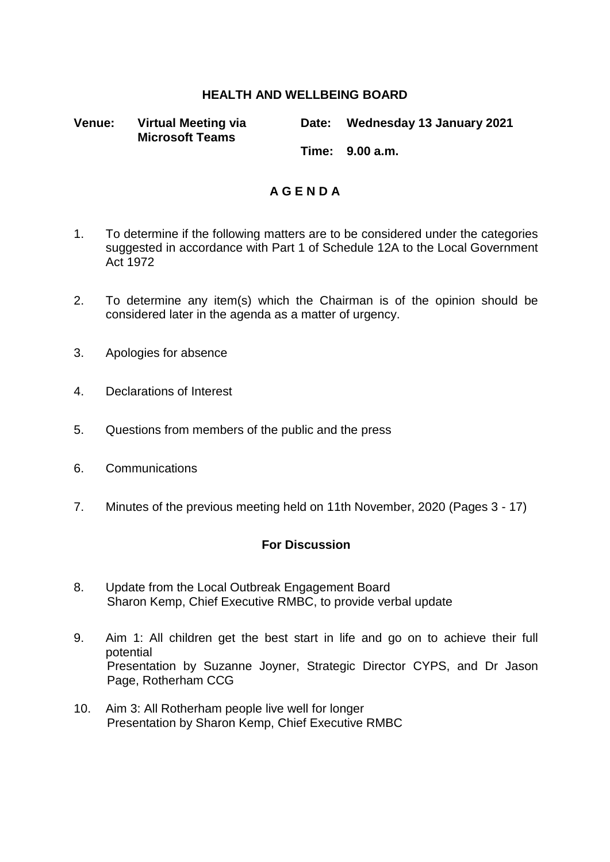## **HEALTH AND WELLBEING BOARD**

**Venue: Virtual Meeting via Microsoft Teams Date: Wednesday 13 January 2021 Time: 9.00 a.m.**

## **A G E N D A**

- 1. To determine if the following matters are to be considered under the categories suggested in accordance with Part 1 of Schedule 12A to the Local Government Act 1972
- 2. To determine any item(s) which the Chairman is of the opinion should be considered later in the agenda as a matter of urgency.
- 3. Apologies for absence
- 4. Declarations of Interest
- 5. Questions from members of the public and the press
- 6. Communications
- 7. Minutes of the previous meeting held on 11th November, 2020 (Pages 3 17)

## **For Discussion**

- 8. Update from the Local Outbreak Engagement Board Sharon Kemp, Chief Executive RMBC, to provide verbal update
- 9. Aim 1: All children get the best start in life and go on to achieve their full potential Presentation by Suzanne Joyner, Strategic Director CYPS, and Dr Jason Page, Rotherham CCG
- 10. Aim 3: All Rotherham people live well for longer Presentation by Sharon Kemp, Chief Executive RMBC